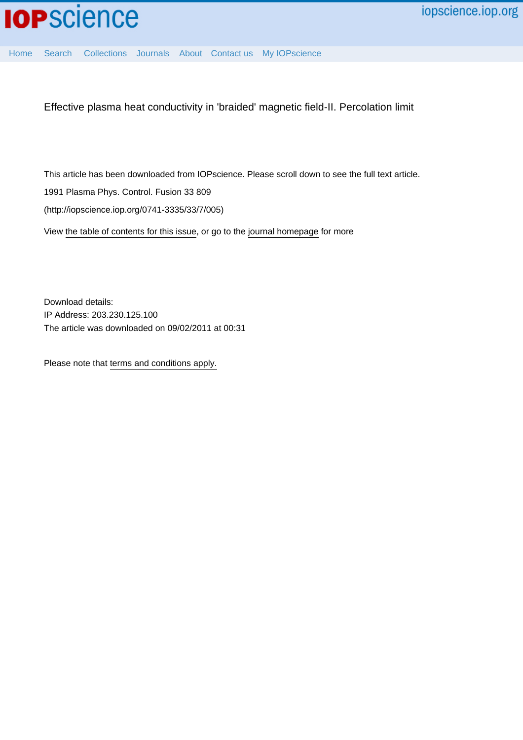[Home](http://iopscience.iop.org/) [Search](http://iopscience.iop.org/search) [Collections](http://iopscience.iop.org/collections) [Journals](http://iopscience.iop.org/journals) [About](http://iopscience.iop.org/page/aboutioppublishing) [Contact us](http://iopscience.iop.org/contact) [My IOPscience](http://iopscience.iop.org/myiopscience)

Effective plasma heat conductivity in 'braided' magnetic field-II. Percolation limit

This article has been downloaded from IOPscience. Please scroll down to see the full text article.

1991 Plasma Phys. Control. Fusion 33 809

(http://iopscience.iop.org/0741-3335/33/7/005)

View [the table of contents for this issue](http://iopscience.iop.org/0741-3335/33/7), or go to the [journal homepage](http://iopscience.iop.org/0741-3335) for more

Download details: IP Address: 203.230.125.100 The article was downloaded on 09/02/2011 at 00:31

Please note that [terms and conditions apply.](http://iopscience.iop.org/page/terms)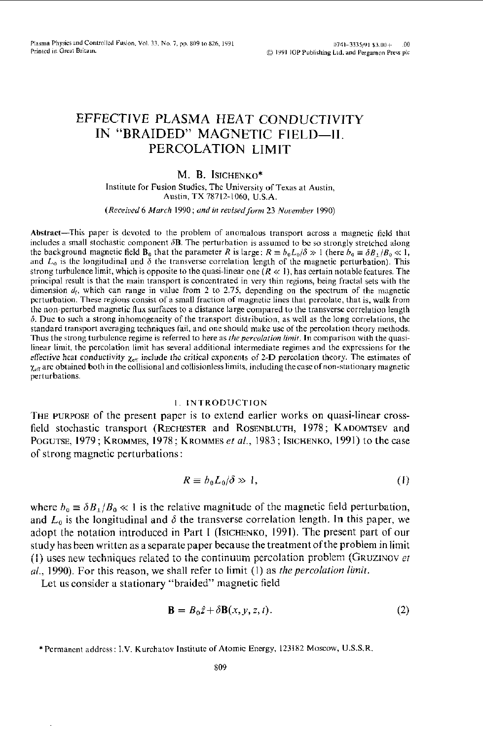# EFFECTIVE PLASMA HEAT CONDUCTIVITY IN "BRAIDED" MAGNETIC FIELD-II. PERCOLATION LIMIT

# M. B. ISICHENKO\*

Institute for Fusion Studies, The University of Texas at Austin, Austin, TX 78712-1060, U.S.A.

(Received 6 March 1990; and in revised form 23 November 1990)

Abstract—This paper is devoted to the problem of anomalous transport across a magnetic field that includes a small stochastic component  $\delta$ B. The perturbation is assumed to be so strongly stretched along the background magnetic field  $\hat{\mathbf{B}}_0$  that the parameter R is large:  $R \equiv b_0 L_0 / \delta \gg 1$  (here  $b_0 \equiv \delta B_1 / B_0 \ll 1$ , and  $L_0$  is the longitudinal and  $\delta$  the transverse correlation length of the magnetic perturbation). This strong turbulence limit, which is opposite to the quasi-linear one  $(R \ll 1)$ , has certain notable features. The principal result is that the main transport is concentrated in very thin regions, being fractal sets with the dimension  $d_f$ , which can range in value from 2 to 2.75, depending on the spectrum of the magnetic perturbation. These regions consist of a small fraction of magnetic lines that percolate, that is, walk from the non-perturbed magnetic flux surfaces to a distance large compared to the transverse correlation length  $\delta$ . Due to such a strong inhomogeneity of the transport distribution, as well as the long correlations, the standard transport averaging techniques fail, and one should make use of the percolation theory methods. Thus the strong turbulence regime is referred to here as the percolation limit. In comparison with the quasilinear limit, the percolation limit has several additional intermediate regimes and the expressions for the effective heat conductivity  $\chi_{\text{eff}}$  include the critical exponents of 2-D percolation theory. The estimates of  $\chi_{\text{eff}}$  are obtained both in the collisional and collisionless limits, including the case of non-stationary magnetic perturbations.

# 1. INTRODUCTION

THE PURPOSE of the present paper is to extend earlier works on quasi-linear crossfield stochastic transport (RECHESTER and ROSENBLUTH, 1978; KADOMTSEV and POGUTSE, 1979; KROMMES, 1978; KROMMES et al., 1983; ISICHENKO, 1991) to the case of strong magnetic perturbations:

$$
R \equiv b_0 L_0 / \delta \gg 1, \tag{1}
$$

where  $b_0 \equiv \delta B_1/B_0 \ll 1$  is the relative magnitude of the magnetic field perturbation, and  $L_0$  is the longitudinal and  $\delta$  the transverse correlation length. In this paper, we adopt the notation introduced in Part I (ISICHENKO, 1991). The present part of our study has been written as a separate paper because the treatment of the problem in limit (1) uses new techniques related to the continuum percolation problem (GRUZINOV et al., 1990). For this reason, we shall refer to limit (1) as the percolation limit.

Let us consider a stationary "braided" magnetic field

$$
\mathbf{B} = B_0 \hat{z} + \delta \mathbf{B}(x, y, z, t). \tag{2}
$$

<sup>\*</sup> Permanent address: I.V. Kurchatov Institute of Atomic Energy, 123182 Moscow, U.S.S.R.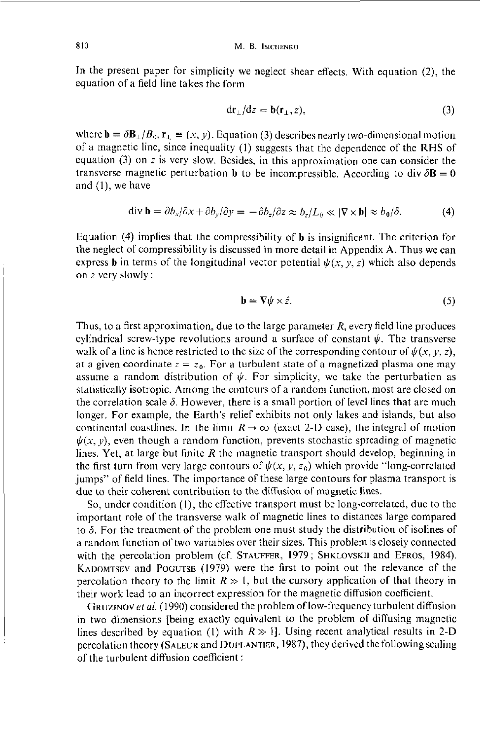810 M. B. ISICHENKO

In the present paper for simplicity we neglect shear effects. With equation *(2),* the equation of a field line takes the form

$$
dr_{\perp}/dz = b(r_{\perp}, z), \qquad (3)
$$

where  $\mathbf{b} \equiv \delta \mathbf{B}_{\perp}/B_0$ ,  $\mathbf{r}_{\perp} \equiv (x, y)$ . Equation (3) describes nearly two-dimensional motion of a magnetic line, since inequality (I) suggests that thc dcpcndcncc of the **RHS** of equation *(3)* on *z* is very slow. Besides, in this approximation one can consider the transverse magnetic perturbation **b** to be incompressible. According to div  $\delta \mathbf{B} = 0$ and (I), we have

$$
\operatorname{div} \mathbf{b} = \partial b_x/\partial x + \partial b_y/\partial y = -\partial b_z/\partial z \approx b_z/L_0 \ll |\nabla \times \mathbf{b}| \approx b_0/\delta. \tag{4}
$$

Equation (4) implies that the compressibility of **b** is insignificant. The criterion for the neglect of compressibility is discussed in more detail in Appendix A. Thus we can express **b** in terms of the longitudinal vector potential  $\psi(x, y, z)$  which also depends on *z* very slowly :

$$
\mathbf{b} = \nabla \psi \times \hat{z}.\tag{5}
$$

Thus, to a first approximation, due to the large parameter *R,* every field line produces cylindrical screw-type revolutions around a surface of constant  $\psi$ . The transverse walk of a line is hence restricted to the size of the corresponding contour of  $\psi(x, y, z)$ , at a given coordinate  $z = z_0$ . For a turbulent state of a magnetized plasma one may assume a random distribution of  $\psi$ . For simplicity, we take the perturbation as statistically isotropic. Among the contours of a random function, most are closed on the correlation scale  $\delta$ . However, there is a small portion of level lines that are much longer. For example, the Earth's relief exhibits not only lakes and islands, but also continental coastlines. In the limit  $R \to \infty$  (exact 2-D case), the integral of motion  $\psi(x, y)$ , even though a random function, prevents stochastic spreading of magnetic lines. Yet, at large hut finitc *R* thc magnetic transport should develop, beginning in the first turn from very large contours of  $\psi(x, y, z_0)$  which provide "long-correlated" jumps" of field lines. The importance of these large contours for plasma transport **is**  due to their coherent contribution to the diffusion of magnetic lines.

So, under condition (I), the effective transport must he long-correlated, due to the important role of the transverse walk of magnetic lines to distances large compared to  $\delta$ . For the treatment of the problem one must study the distribution of isolines of a random function of two variables over their sizes. This problem **is** closely connected with the percolation problem (cf. STAUFFER, 1979; SHKLOVSKII and **EFKOS,** 1984). KADOMTSEV and POGUTSE (1979) were the first to point out the relevance of the percolation theory to the limit  $R \gg 1$ , but the cursory application of that theory in their work lead to an incorrect expression for the magnetic diffusion coefficient.

GRUZINOV et al. (1990) considered the problem of low-frequency turbulent diffusion in two dimensions [being exactly equivalent to the problem of diffusing magnetic lines described by equation (1) with  $R \gg 1$ . Using recent analytical results in 2-D percolation theory (SALEUR and DUPLANTIER, 1987), they derived the following scaling of the turbulent diffusion coefficient: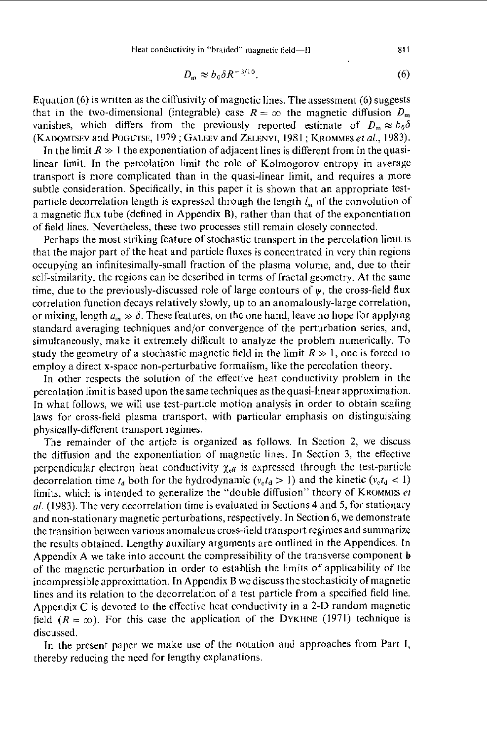$$
D_{\rm m} \approx b_0 \delta R^{-3/10}.\tag{6}
$$

Equation (6) **is** written as the diffusivity of magnetic lines. The assessment (6) suggests that in the two-dimensional (integrable) case  $R = \infty$  the magnetic diffusion  $D_m$ vanishes, which differs from the previously reported estimate of  $D_m \approx b_0 \delta$ (KADOMTSEV and POCUTSE, 1979 ; GALEEV and ZELENYI, **1981** ; KROMMES *PI al.,* 1983).

In the limit  $R \gg 1$  the exponentiation of adjacent lines is different from in the quasilinear limit. In the percolation limit the role of Kolmogorov entropy in average transport **is** more complicated than in the quasi-linear limit, and requires a more subtle consideration. Specifically, in this paper it **is** shown that an appropriate testparticle decorrelation length is expressed through the length  $l_m$  of the convolution of a magnetic flux tube (defined in Appendix **B),** rather than that of the exponentiation of field lines. Nevertheless, these two processes still remain closely connected.

Perhaps the most striking feature of stochastic transport in the percolation limit **is**  that the major part of the heat and particle lluxes is concentrated in very thin regions occupying an infinitesimally-small fraction of the plasma volume, and, due to their self-similarity, the regions can be described in terms of fractal geometry. At the same time, due to the previously-discussed role of large contours of  $\psi$ , the cross-field flux correlation function decays relatively slowly, up to an anomalously-large correlation, or mixing, length  $a_m \gg \delta$ . These features, on the one hand, leave no hope for applying standard averaging techniques and/or convergence of the perturbation series, and, simultaneously, make it extremely difficult to analyze the problem numerically. To study the geometry of a stochastic magnetic field in the limit  $R \gg 1$ , one is forced to employ a direct x-space non-perturbative formalism, like the percolation theory.

In other respects the solution of the effective heat conductivity problem in the In what follows, we will use test-particle motion analysis in order to obtain scaling laws for cross-field plasma transport, with particular emphasis on distinguishing physically-different transport regimes. percolation limit is based upon the same techniques as the quasi-linear approximation.

The remaindcr of the article is organized as follows. In Section **2,** we discuss the diffusion and the exponentiation of magnetic lines. In Section 3, the effective perpendicular electron heat conductivity  $\chi_{\text{eff}}$  is expressed through the test-particle decorrelation time  $t_d$  both for the hydrodynamic  $(v_e t_d > 1)$  and the kinetic  $(v_e t_d < 1)$ limits, which is intended to generalize the "double diffusion" theory of KROMMES *et a/.* (1983). The very decorrelation time is evaluated in Sections **4** and *5,* for stationary and non-stationary magnetic perturbations, respectively. In Section 6, we demonstrate the transition between various anomalous cross-field transport regimes and summarize the results obtained. Lengthy auxiliary arguments are outlined in the Appendices. In Appendix **A** we take into account the compressibility of the transverse component *b*  of the magnetic perturbation in order to establish the limits of applicability of the incompressible approximation. In Appendix **B** we discuss the stochasticity of magnetic lines and its relation to the decorrelation of a test particle from a specified field line. Appendix *C* is devoted to the effective heat conductivity in a **2-D** random magnetic field  $(R = \infty)$ . For this case the application of the DYKHNE (1971) technique is discussed.

In the present paper we make use of the notation and approaches from Part I, thereby reducing the nccd for lengthy explanations.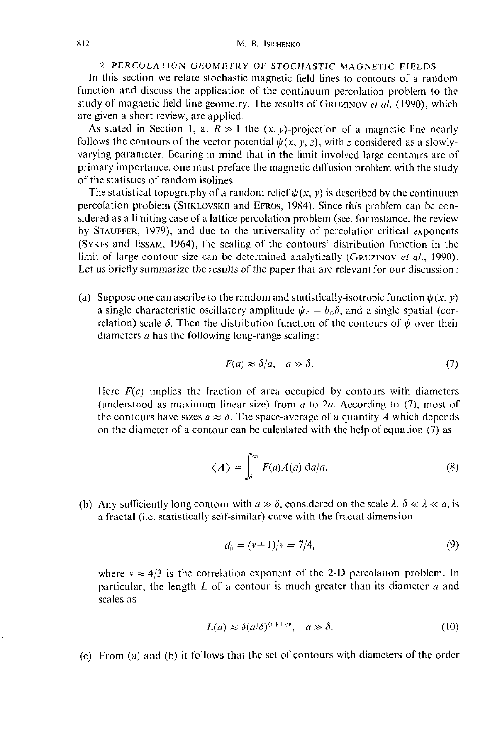# 2. **PERCOLATION GEOhlETRY** OF **STOCHASTIC MAGNETIC FIELDS**

In this section we relate stochastic magnetic field lines to contours of a random function and discuss the application of the continuum percolation problem to the study of magnetic field line geometry. The results of GRUZINOV *cr al.* (1990), which are given a short rcview, are applied.

As stated in Section 1, at  $R \gg 1$  the  $(x, y)$ -projection of a magnetic line nearly follows the contours of the vector potential  $\psi(x, y, z)$ , with *z* considered as a slowlyvarying paramcter. Bearing in mind that in the limit involved large contours are of primary importance, one must preface the magnetic ditfusion problem with the study of the statistics of random isolines.

The statistical topography of a random relief  $\psi(x, y)$  is described by the continuum percolation problem **(SHKLOVSKII** and **EFRUS,** 1984). Since this problem can be considered as a limiting case of a lattice percolation problem (see, for instance, the review by **STAUFFER,** 1979), and due to the universality of percolation-critical exponents (SYKES and Essam, 1964), the scaling of the contours' distribution function in the limit of large contour size can be determined analytically (GRUZINOV *ef al.,* 1990). Let us briefly summarize the results of the paper that are relevant for our discussion:

(a) Suppose one can ascribe to the random and statistically-isotropic function  $\psi(x, y)$ a single characteristic oscillatory amplitude  $\psi_0 = b_0 \delta$ , and a single spatial (correlation) scale  $\delta$ . Then the distribution function of the contours of  $\psi$  over their diameters  $\alpha$  has the following long-range scaling:

$$
F(a) \approx \delta/a, \quad a \gg \delta. \tag{7}
$$

Here  $F(a)$  implies the fraction of area occupied by contours with diameters (understood as maximum linear size) from *a* to 2*a*. According to (7), most of the contours have sizes  $a \approx \delta$ . The space-average of a quantity A which depends on the diameter of a contour can be calculated with the help of equation (7) as

$$
\langle A \rangle = \int_{\delta}^{\infty} F(a)A(a) \, \mathrm{d}a/a. \tag{8}
$$

(b) Any sufficiently long contour with  $a \gg \delta$ , considered on the scale  $\lambda$ ,  $\delta \ll \lambda \ll a$ , is a fractal (i.e. statistically self-similar) curve with the fractal dimension

$$
d_h = (v+1)/v = 7/4, \tag{9}
$$

where  $v = 4/3$  is the correlation exponent of the 2-D percolation problem. In particular, the length  $L$  of a contour is much greater than its diameter  $a$  and scales as

$$
L(a) \approx \delta(a/\delta)^{(v+1)/v}, \quad a \gg \delta. \tag{10}
$$

(c) From (a) and (b) it follows that the set or contours with diameters of the order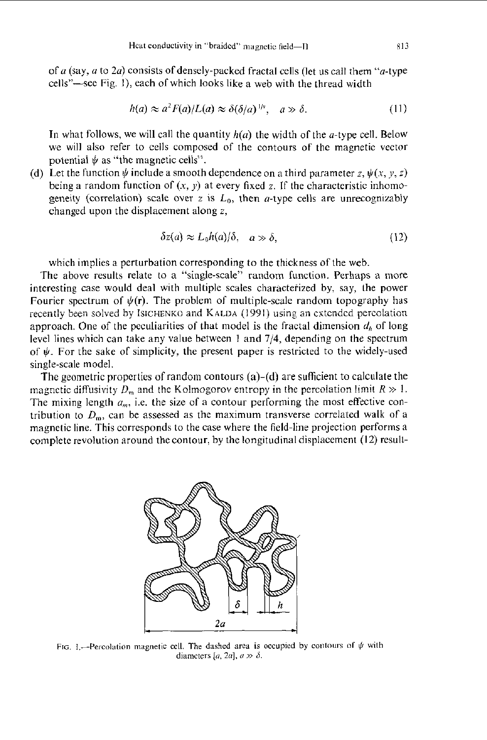of *a* (say, *a* to 2*a*) consists of densely-packed fractal cells (let us call them "*a*-type cells"-see Fig. 1), each of which looks like a web with the thread width

$$
h(a) \approx a^2 F(a)/L(a) \approx \delta(\delta/a)^{1/\nu}, \quad a \gg \delta. \tag{11}
$$

In what follows, we will call the quantity  $h(a)$  the width of the *a*-type cell. Below we will also refer to cells composed of the contours of the magnetic vector potential  $\psi$  as "the magnetic cells".

(d) Let the function  $\psi$  include a smooth dependence on a third parameter z,  $\psi(x, y, z)$ being a random function of  $(x, y)$  at every fixed z. If the characteristic inhomogeneity (correlation) scale over  $z$  is  $L_0$ , then  $a$ -type cells are unrecognizably changed upon the displacement along *z,* 

$$
\delta z(a) \approx L_0 h(a)/\delta, \quad a \gg \delta,
$$
 (12)

which implies a perturbation corresponding to the thickness of the web.

The above results relate to a "single-scale" random function. Perhaps a more interesting case would deal with multiple scales characterized by, say, the power Fourier spectrum of  $\psi(\mathbf{r})$ . The problem of multiple-scale random topography has approach. One of the peculiarities of that model is the fractal dimension *di,* of long level lines which can take any value between 1 and **7/4,** depending on the spectrum of  $\psi$ . For the sake of simplicity, the present paper is restricted to the widely-used single-scale model. recently been solved by Isichenko and KALDA (1991) using an extended percolation

The geometric properties of random contours (a)-(d) are sufficient to calculate the magnetic diffusivity  $D_m$  and the Kolmogorov entropy in the percolation limit  $R \gg 1$ . The mixing length  $a_m$ , i.e. the size of a contour performing the most effective contribution to  $D<sub>m</sub>$ , can be assessed as the maximum transverse correlated walk of a magnetic line. This corresponds to the case where the field-line projection performs a complete revolution around the contour, by the longitudinal displacement (12) result-



FIG, 1.-Percolation magnetic cell. The dashed area is occupied by contours of  $\psi$  with diameters  $[a, 2a]$ ,  $a \gg \delta$ .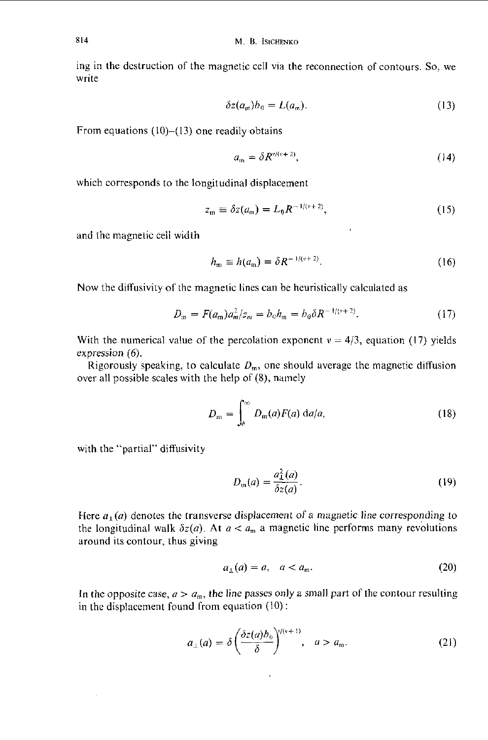ing in the dcstruction of the magnetic cell via the reconnection of contours. So, we write

$$
\delta z(a_m)b_0 = L(a_m). \tag{13}
$$

From equations  $(10)$ - $(13)$  one readily obtains

$$
a_{\mathfrak{m}} = \delta R^{\nu/(\nu+2)},\tag{14}
$$

which corresponds to the longitudinal displacement

$$
z_{\mathfrak{m}} \equiv \delta z(a_{\mathfrak{m}}) = L_0 R^{-1/(v+2)}, \qquad (15)
$$

and the magnetic cell width

$$
h_{\rm m} \equiv h(a_{\rm m}) = \delta R^{-1/(v+2)}.
$$
 (16)

Now the diffusivity of the magnetic lines can be heuristically calculated as

$$
D_{\rm m} = F(a_{\rm m}) a_m^2 / z_m = b_0 h_{\rm m} = b_0 \delta R^{-1/(v+2)}.
$$
 (17)

With the numerical value of the percolation exponent  $v = 4/3$ , equation (17) yields expression (6).

Rigorously speaking, to calculate  $D_m$ , one should average the magnetic diffusion over all possible scales with the help of (8), namely

$$
D_{\rm m} = \int_{\delta}^{\infty} D_{\rm m}(a) F(a) \, \mathrm{d}a/a, \tag{18}
$$

with the "partial" diffusivity

$$
D_{\rm m}(a) = \frac{a_{\rm L}^2(a)}{\delta z(a)}.
$$
\n(19)

Here  $a_1(a)$  denotes the transverse displacement of a magnetic line corresponding to the longitudinal walk  $\delta z(a)$ . At  $a < a_m$  a magnetic line performs many revolutions around its contour, thus giving

$$
a_{\perp}(a) = a, \quad a < a_{\mathfrak{m}}.\tag{20}
$$

In the opposite case,  $a > a_m$ , the line passes only a small part of the contour resulting in the displacement found from equation  $(10)$ :

$$
a_{\perp}(a) = \delta \left( \frac{\delta z(a) b_0}{\delta} \right)^{y/(v+1)}, \quad a > a_m. \tag{21}
$$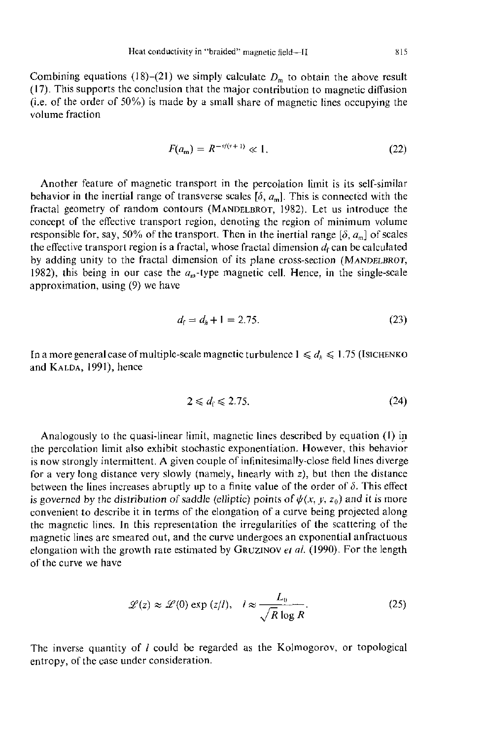Combining equations (18)–(21) we simply calculate  $D<sub>m</sub>$  to obtain the above result (17). This supports the conclusion that the major contribution to magnetic diffusion  $(i.e. of the order of 50\%)$  is made by a small share of magnetic lines occupying the volume fraction

$$
F(a_m) = R^{-\nu/(\nu+1)} \ll 1.
$$
 (22)

Another feature of magnetic transport in the percolation limit **is** its self-similar behavior in the inertial range of transverse scales  $[\delta, a_m]$ . This is connected with the fractal geometry of random contours **(MANDELBROT, 1982).** Let **us** introduce the concept of the effective transport region, denoting the region of minimum volume responsible for, say, 50% of the transport. Then in the inertial range  $[\delta, a_{\rm m}]$  of scales the effective transport region is a fractal, whose fractal dimension  $d_f$  can be calculated by adding unity to the fractal dimension of its plane cross-section **(MANDELBROT,**  1982), this being in our case the  $a<sub>m</sub>$ -type magnetic cell. Hence, in the single-scale approximation, using (9) we have

$$
d_{\rm f} = d_{\rm h} + 1 = 2.75. \tag{23}
$$

In a more general case of multiple-scale magnetic turbulence  $1 \le d_h \le 1.75$  (Isichenko and **KAI.I)A,** 1991), hence

$$
2 \leq d_{\rm f} \leq 2.75. \tag{24}
$$

Analogously to the quasi-linear limit, magnetic lines described by equation **(I)** in the percolation limit also exhibit stochastic exponentiation. However, this behavior is now strongly intermittent. **A** given couple of infinitesimally-close field lines diverge for a very long distance very slowly (namely, linearly with *z),* but then the distance between the lines increases abruptly up to a finite value of the order of  $\delta$ . This effect is governed by the distribution of saddle (elliptic) points of  $\psi(x, y, z_0)$  and it is more convenient to describe it in terms of the elongation of a curve being projected along the magnetic lines. In this representation the irregularities of the scattering of the magnetic lines are smeared out, and the curve undergoes an exponential anfractuous elongation with the growth rate estimated by GRUZINOV *et al.* (1990). For the length of the curve we have

$$
\mathcal{L}(z) \approx \mathcal{L}(0) \exp{(z/l)}, \quad l \approx \frac{L_0}{\sqrt{R} \log R}.
$$
 (25)

The inverse quantity of *I* could be regarded as the Kolmogorov, or topological entropy, of the case under consideration.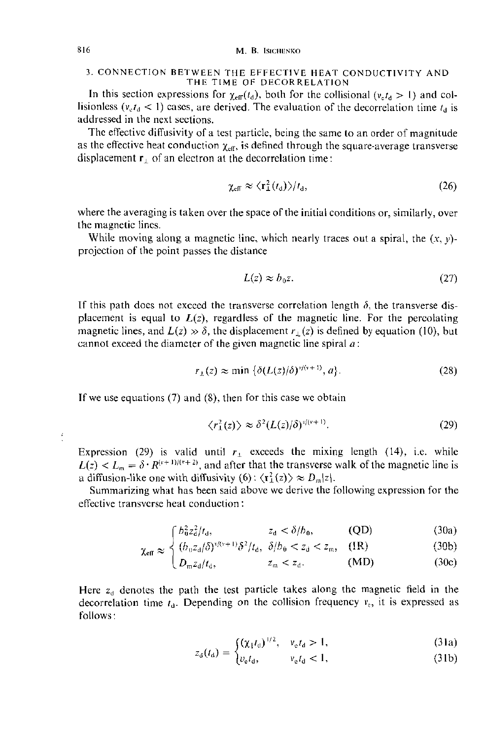# **3.** CONNECTION BETWEEN THE EFFECTIVE HEAT CONDUCTIVITY AND THE TIME OF DECORRELATION

In this section expressions for  $\chi_{\text{eff}}(t_{d})$ , both for the collisional  $(\nu_{n} t_{d} > 1)$  and collisionless  $(v_c t_d < 1)$  cases, are derived. The evaluation of the decorrelation time  $t_d$  is addressed in the next sections.

Thc effectivc diffusivity of a test particle, being the same to an order of magnitude as the effective heat conduction  $\chi_{\text{eff}}$ , is defined through the square-average transverse displacement  $\mathbf{r}_\perp$  of an electron at the decorrelation time:

$$
\chi_{\rm eff} \approx \langle \mathbf{r}_\perp^2(t_\mathrm{d}) \rangle / t_\mathrm{d},\tag{26}
$$

where the averaging is taken over the space of the initial conditions or, similarly, over the magnetic lines.<br>While may include:

While moving along a magnetic line, which nearly traces out a spiral, the  $(x, y)$ projection of the point passes the distance

$$
L(z) \approx b_0 z. \tag{27}
$$

If this path does not exceed the transverse correlation length  $\delta$ , the transverse displacement is equal to  $L(z)$ , regardless of the magnetic line. For the percolating magnetic lines, and  $L(z) \gg \delta$ , the displacement  $r_{\perp}(z)$  is defined by equation (10), but cannot exceed the diameter of the given magnetic line spiral *a:* 

$$
r_{\perp}(z) \approx \min \left\{ \delta(L(z)/\delta)^{\nu/(v+1)}, a \right\}.
$$
 (28)

If we use equations  $(7)$  and  $(8)$ , then for this case we obtain

$$
\langle r_{\perp}^2(z)\rangle \approx \delta^2 (L(z)/\delta)^{v/(v+1)}.
$$
 (29)

Expression (29) is valid until  $r_{\perp}$  exceeds the mixing length (14), i.e. while  $L(z) < L_m = \delta \cdot R^{(r+1)/(r+2)}$ , and after that the transverse walk of the magnetic line is a diffusion-like one with diffusivity  $(6)$ :  $\langle \mathbf{r}_1^2(z) \rangle \approx D_m|z|$ .

Summarizing what has been said above we derive the following expression for the effective transvcrse heat conduction :

$$
\int b_0^2 z_d^2 / t_d, \qquad z_d < \delta / b_0, \qquad \text{(QD)} \tag{30a}
$$

$$
\chi_{\text{eff}} \approx \begin{cases} \frac{\partial_{\mu} a_{\ell}(3)}{\partial \phi} & \text{if } \lambda \neq 0, \\ \frac{\partial_{\mu} a_{\ell}(3)}{\partial \phi} & \text{if } \lambda \neq 0, \\ 0 & \text{if } \lambda \neq 0. \end{cases} \quad (J(R) \tag{30b}
$$

$$
L_{m}z_{d}/t_{d}, \qquad z_{m} < z_{d}. \qquad (MD) \qquad (30c)
$$

Here  $z_d$  denotes the path the test particle takes along the magnetic field in the decorrelation time  $t_d$ . Depending on the collision frequency  $v_c$ , it is expressed as follows:

$$
z_a(t_a) = \begin{cases} (\chi_{\parallel} t_a)^{1/2}, & \nu_{\rm e} t_a > 1, \\ 0 & \text{if } \lambda \end{cases}
$$
 (31a)

$$
v_{\rm d}(t_{\rm d}) = \begin{cases} v_{\rm e}t_{\rm d}, & v_{\rm e}t_{\rm d} < 1, \end{cases} \tag{31b}
$$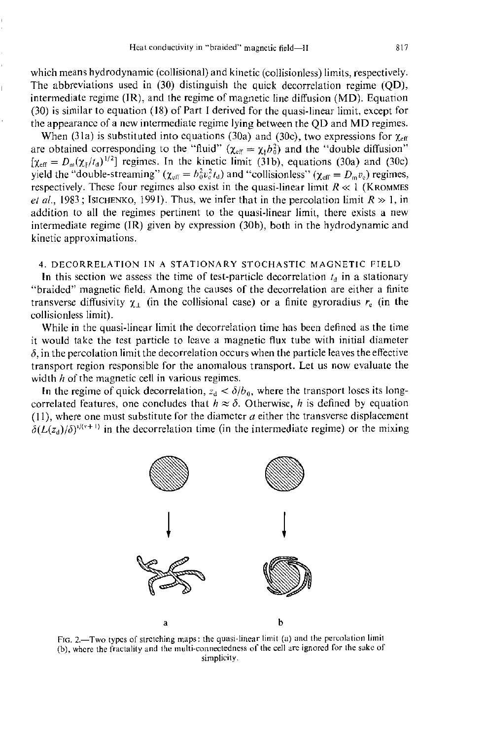which means hydrodynamic (collisional) and kinetic (collisionless) limits, respectively. The abbreviations used in (30) distinguish the quick decorrelation regime (QD), intermediate regime (IR), and the regime of magnetic line diffusion (MD). Equation (30) is similar to equation (18) of Part I derived for the quasi-linear limit, except for the appearance of a new intermediate regime lying between the QD and MD regimes.

When (31a) is substituted into equations (30a) and (30c), two expressions for  $\chi_{\text{eff}}$ are obtained corresponding to the "fluid"  $(\chi_{\text{eff}} = \chi_{\parallel} b_0^2)$  and the "double diffusion"  $[\chi_{\text{eff}} = D_{\text{m}}(\chi_1/t_a)^{1/2}]$  regimes. In the kinetic limit (31b), equations (30a) and (30c) yield the "double-streaming"  $(\chi_{\text{eff}} = h_0^2 v_s^2 t_d)$  and "collisionless"  $(\chi_{\text{eff}} = D_m v_s)$  regimes, respectively. These four regimes also exist in the quasi-linear limit  $R \ll 1$  (KROMMES *et al.,* 1983; Isichenko, 1991). Thus, we infer that in the percolation limit  $R \gg 1$ , in addition to all the regimes pertinent to the quasi-linear limit, there exists a new intermediate regime (IR) given by expression (30h), both in the hydrodynamic and kinetic approximations.

# **4.** DECORRELATION IN **A** STATIONARY STOCHASTIC MAGNETIC FIELD

In this section we assess the time of test-particle decorrelation  $t<sub>d</sub>$  in a stationary "braided" magnetic field. Among the causes of the decorrelation are either a finite transverse diffusivity  $\chi_1$  (in the collisional case) or a finite gyroradius  $r_e$  (in the collisionless limit).

While in the quasi-linear limit the decorrelation time has been defincd as the time it would take the test particle to leave a magnetic flux tube with initial diameter  $\delta$ , in the percolation limit the decorrelation occurs when the particle leaves the effective transport region responsible for the anomalous transport. Let us now evaluate the width  $h$  of the magnetic cell in various regimes.

In the regime of quick decorrelation,  $z_d < \delta/b_0$ , where the transport loses its longcorrelated features, one concludes that  $h \approx \delta$ . Otherwise, *h* is defined by equation  $(11)$ , where one must substitute for the diameter  $a$  either the transverse displacement  $\delta(L(z_d)/\delta)^{v/(v+1)}$  in the decorrelation time (in the intermediate regime) or the mixing



FIG. 2.-Two types of stretching maps: the quasi-linear limit (a) and the percolation limit **(b),** whcre the fractality and **Ihc** multi-connectedness oi the cell are ignored for **the sake** of simplicity.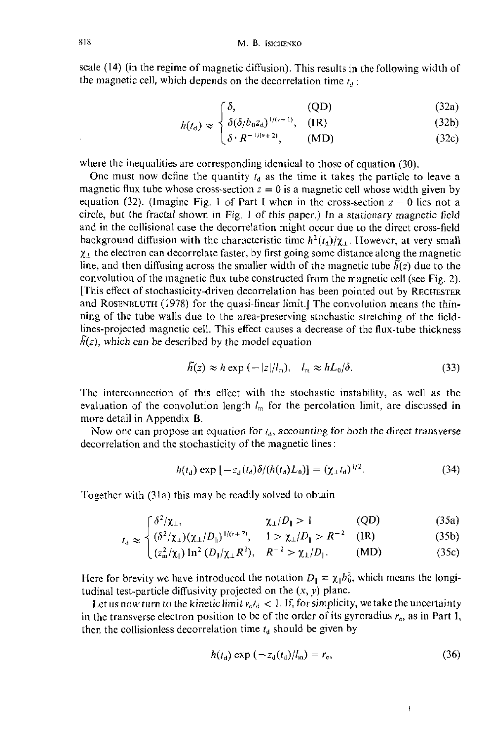scale (14) (in the regime of magnetic diffusion). This results in the following width of the magnetic cell, which depends on the decorrelation time  $t_a$ :

$$
\begin{cases}\n\delta, & \text{(QD)}\n\end{cases}
$$
\n(32a)

$$
h(t_d) \approx \begin{cases} \delta, & \text{(QD)}\\ \delta(\delta/b_0 z_d)^{1/(v+1)}, & \text{(IR)}\\ \delta \cdot R^{-1/(v+2)}, & \text{(MD)} \end{cases}
$$
(32a)  
(32b)

$$
\left(\delta \cdot R^{-1/(v+2)},\right) \qquad \text{(MD)}\tag{32c}
$$

where the inequalities are corresponding identical to those of equation (30).

One must now define the quantity  $t_d$  as the time it takes the particle to leave a magnetic flux tube whose cross-section  $z = 0$  is a magnetic cell whose width given by equation (32). (Imagine Fig. 1 of Part I when in the cross-section  $z = 0$  lies not a circle, but the fractal shown in Fig. I of this paper.) In a stationary magnetic field and in the collisional case the decorrelation might occur due to the direct cross-field background diffusion with the characteristic time  $h^2(t_d)/\chi_1$ . However, at very small  $\chi_1$  the electron can decorrelate faster, by first going some distance along the magnetic line, and then diffusing across the smaller width of the magnetic tube  $\tilde{h}(z)$  due to the convolution of the magnetic flux tube constructed from the magnetic cell (see Fig. *2).*  [This effect of stochasticity-driven decorrelation has been pointed out by RECHESTER and **ROSENRLUTH** (1978) for the quasi-linear limit.] The convolution means the thinning of the tube walls due to the area-preserving stochastic stretching of the fieldlines-projected magnetic cell. This effect causes a decrease of the flux-tube thickness  $\tilde{h}(z)$ , which can be described by the model equation

$$
\tilde{h}(z) \approx h \exp\left(-|z|/l_m\right), \quad l_m \approx h L_0/\delta. \tag{33}
$$

The interconnection of this effect with the stochastic instability, as well as the evaluation of the convolution length  $l_m$  for the percolation limit, are discussed in more detail in Appendix **B.** 

Now one can propose an equation for  $t<sub>d</sub>$ , accounting for both the direct transverse decorrelation and the stochasticity of the magnetic lines:

$$
h(t_a) \exp \left[ -z_a(t_a) \delta / (h(t_a) L_0) \right] = (\chi_{\perp} t_a)^{1/2}.
$$
 (34)

Together with (31a) this may he readily solved to obtain

$$
\int \delta^2/\chi_1,\qquad \qquad \chi_1/D_{\parallel} > 1\qquad \qquad \text{(QD)}\tag{35a}
$$

$$
\approx \frac{1}{2} (\delta^2 / \chi_{\perp}) (\chi_{\perp}/D_{\parallel})^{1/(v+2)}, \quad 1 > \chi_{\perp}/D_{\parallel} > R^{-2} \quad (\text{IR}) \tag{35b}
$$

$$
t_{\rm d} \approx \begin{cases} (\delta^2/\chi_{\rm L}) (\chi_{\rm L}/D_{\rm j})^{1/(v+2)}, & 1 > \chi_{\rm L}/D_{\rm j} > R^{-2} & (\rm IR) \\ (z_{\rm m}^2/\chi_{\rm j}) \ln^2 (D_{\rm j}/\chi_{\rm L} R^2), & R^{-2} > \chi_{\rm L}/D_{\rm j}. \end{cases} \tag{35b}
$$

Here for brevity we have introduced the notation  $D_{\parallel} = \chi_{\parallel} b_0^2$ , which means the longitudinal test-particle diffusivity projected on the  $(x, y)$  plane.

Let us now turn to the kinetic limit  $v<sub>e</sub>t<sub>d</sub> < 1$ . If, for simplicity, we take the uncertainty in the transverse electron position to be of the order of its gyroradius  $r<sub>e</sub>$ , as in Part I, then the collisionless decorrelation time  $t_d$  should be given by

$$
h(t_{\rm d}) \exp(-z_{\rm d}(t_{\rm d})/l_{\rm m}) = r_{\rm e},\tag{36}
$$

 $\overline{1}$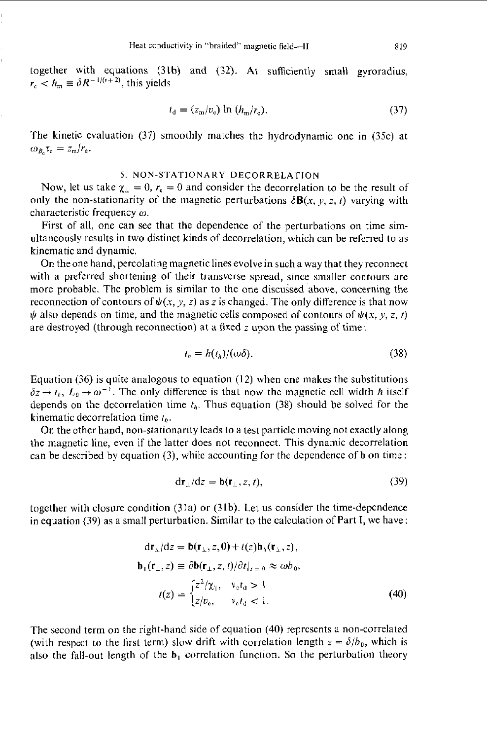together with equations (31h) and (32). At sufficiently small gyroradius,  $r_c < h_m \equiv \delta R^{-1/(v+2)}$ , this yields

$$
t_{\rm d} = (z_{\rm m}/v_{\rm c}) \ln \left( h_{\rm m}/r_{\rm c} \right). \tag{37}
$$

The kinetic evaluation (37) smoothly matches the hydrodynamic one in (35c) at  $\omega_{B_c} \tau_c = z_m/r_e.$ 

# *5.* **NON-STATIONARY DECORRELATION**

Now, let us take  $\chi_{\perp} = 0$ ,  $r_c = 0$  and consider the decorrelation to be the result of only the non-stationarity of the magnetic perturbations  $\delta \mathbf{B}(x, y, z, t)$  varying with characteristic frequency  $\omega$ .

First of all, one can see that the dependence of the perturbations on time simultaneously results in two distinct kinds of decorrelation, which can be referred to as kinematic and dynamic.

On the one hand, percolating magnetic lines evolve in such a way that they reconnect with a preferred shortening of their transverse spread, since smaller contours are more probable. The problem is similar to the one discussed above, concerning the reconnection of contours of  $\psi(x, y, z)$  as *z* is changed. The only difference is that now  $\psi$  also depends on time, and the magnetic cells composed of contours of  $\psi(x, y, z, t)$ are destroyed (through reconnection) at a fixed z upon the passing of time:

$$
t_h = h(t_h)/(\omega \delta). \tag{38}
$$

Equation  $(36)$  is quite analogous to equation  $(12)$  when one makes the substitutions  $\delta z \rightarrow t_h$ ,  $L_0 \rightarrow \omega^{-1}$ . The only difference is that now the magnetic cell width *h* itself depends on the decorrelation time  $t<sub>h</sub>$ . Thus equation (38) should be solved for the kinematic decorrelation time  $t<sub>k</sub>$ .

On the other hand, non-stationarity leads to a test particle moving not exactly along the magnetic line, even if the latter does not reconnect. This dynamic decorrelation can be described by equation (3), while accounting for the dependence of **b** on time:

$$
dr_{\perp}/dz = b(r_{\perp}, z, t),
$$
 (39)

together with closure condition (3la) or (31b). Let us consider the time-dependence in equation (39) as a small perturbation. Similar to the calculation of Part I, we have:

$$
dr_{\perp}/dz = \mathbf{b}(\mathbf{r}_{\perp}, z, 0) + t(z)\mathbf{b}_{1}(\mathbf{r}_{\perp}, z),
$$
  
\n
$$
\mathbf{b}_{1}(\mathbf{r}_{\perp}, z) \equiv \partial \mathbf{b}(\mathbf{r}_{\perp}, z, t) / \partial t |_{t=0} \approx \omega b_{0},
$$
  
\n
$$
t(z) = \begin{cases} z^{2} / \chi_{\parallel}, & v_{e} t_{\parallel} > 1 \\ z / v_{e}, & v_{e} t_{\parallel} < 1. \end{cases}
$$
 (40)

The second term on the right-hand side of equation (40) represents a non-correlated (with respect to the first term) slow drift with correlation length  $z = \delta/b_0$ , which is also the fall-out length of the b, correlation function. **So** the perturbation theory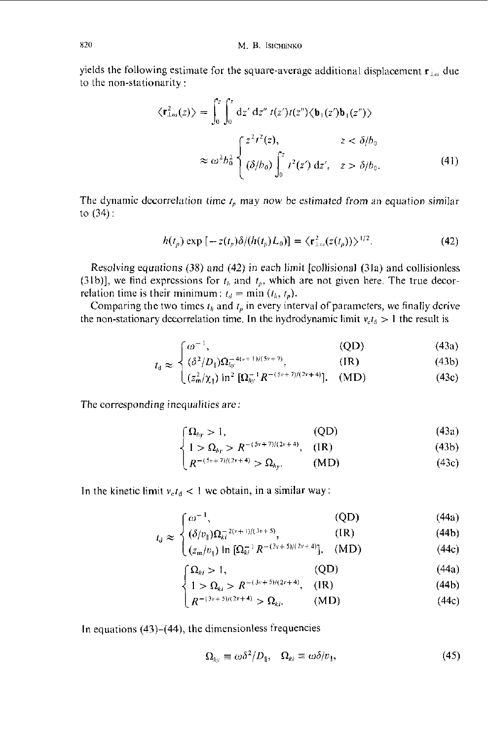yields the following estimate for the square-average additional displacement  $\mathbf{r}_{1,\omega}$  due to the non-stationarity :

$$
\langle \mathbf{r}_{\perp \omega}^2(z) \rangle = \int_0^z \int_0^z dz' dz'' \ t(z') t(z'') \langle \mathbf{b}_1(z') \mathbf{b}_1(z'') \rangle
$$
  

$$
\approx \omega^2 b_0^2 \begin{cases} z^2 t^2(z), & z < \delta/b_0 \\ (\delta/b_0) \int_0^z t^2(z') dz', & z > \delta/b_0. \end{cases}
$$
(41)

The dynamic decorrelation time  $t_p$  may now be estimated from an equation similar to (34) :

$$
h(t_p) \exp\left[-z(t_p)\delta/(h(t_p)L_0)\right] = \langle \mathbf{r}_{\perp \omega}^2(z(t_p))\rangle^{1/2}.
$$
 (42)

Resolving equations (38) and (42) in each limit [collisional (31a) and collisionless (31b)], we find expressions for  $t<sub>h</sub>$  and  $t<sub>p</sub>$ , which are not given here. The true decorrelation time is their minimum:  $t_d = \min (t_h, t_p)$ .

Comparing the two times  $t<sub>h</sub>$  and  $t<sub>p</sub>$  in every interval of parameters, we finally derive the non-stationary decorrelation time. In the hydrodynamic limit  $v_{\rm e}t_{\rm d} > 1$  the result is

$$
\left\lceil \omega^{-1},\right\rceil \tag{43a}
$$

$$
t_{\rm d} \approx \left\{ \left( \delta^2 / D_{\parallel} \right) \Omega_{h}^{-4(\nu+1)/(5\nu+7)}, \right. \tag{1R}
$$

$$
t_{\rm d} \approx \begin{cases} \omega^{-1}, & \text{(QD)}\\ (\delta^2/D_{\parallel})\Omega_{h\upsilon}^{-(4(\nu+1)/(5\nu+7)}, & \text{(IR)}\\ (z_m^2/\chi_{\parallel})\ln^2\left[\Omega_{h\upsilon}^{-1}R^{-(5\nu+7)/(2\nu+4)}\right]. & \text{(MD)} \end{cases} \tag{43c}
$$

The corresponding inequalities are:

$$
\left\{\Omega_{hy} > 1,\right.\tag{43a}
$$
\n
$$
\left\{\Omega_{\text{Lip}} > 0,\right.\left\{\Omega_{\text{Lip}}\right\} \left(\Omega_{\text{Lip}}\right)\right\} \tag{43b}
$$

$$
\left\{ 1 > \Omega_{h} > R^{-(5v+7)/(2v+4)}, (1R) \right\} \tag{43b}
$$

$$
\left(R^{-(5\nu+7)/(2\nu+4)} > \Omega_{h\mathcal{Y}}.\right) \qquad \text{(MD)}\tag{43c}
$$

In the kinetic limit  $v_c t_d < 1$  we obtain, in a similar way:

$$
\lceil \omega^{-1}, \qquad \qquad \text{(QD)} \tag{44a}
$$

$$
t_d \approx \sqrt{\left(\delta/v_{\parallel}\right) \Omega_{ki}^{-2(v+1)/(3v+5)}},\tag{IR}
$$

$$
\left( (z_m/v_{\parallel}) \ln \left[ \Omega_n^{-1} R^{-(3v+5)/(2v+4)} \right], \quad (\text{MD}) \right) \tag{44c}
$$

$$
\begin{cases} \Omega_{ki} > 1, & \text{(QD)}\\ 1 > \Omega_{ki} > R^{-(3v+5)/(2v+4)}, & \text{(IR)} \end{cases}
$$
(44a)

$$
\left\{ 1 > \Omega_{ki} > R^{-(3v+3)/(2v+4)}, \quad (\text{IR}) \right\} \tag{44b}
$$

$$
\left(R^{-(3\nu+5)/(2\nu+4)} > \Omega_{ki}.\right) \qquad (MD) \tag{44c}
$$

In equations  $(43)$ – $(44)$ , the dimensionless frequencies

$$
\Omega_{h_y} \equiv \omega \delta^2 / D_{\xi}, \quad \Omega_{ki} \equiv \omega \delta / v_{\parallel}, \tag{45}
$$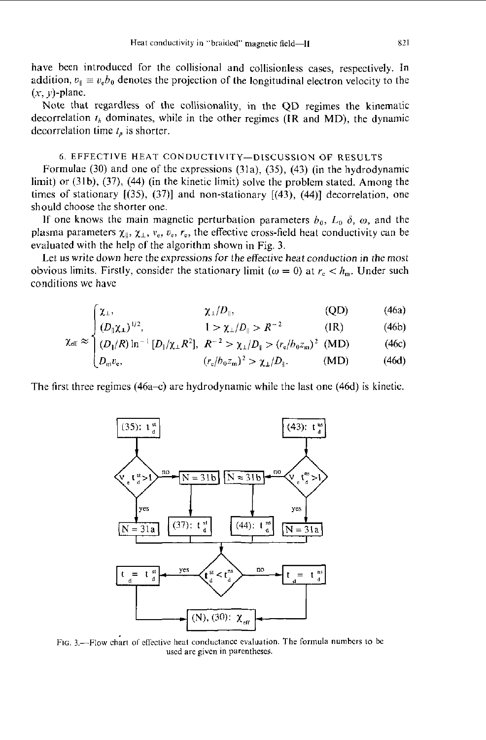have been introduced for the collisional and collisionless cases, respectively. In addition,  $v_{\parallel} \equiv v_{\rm e}b_0$  denotes the projection of the longitudinal electron velocity to the  $(x, y)$ -plane.

Note that regardless of the collisionality, in the QD regimes the kinematic decorrelation *fh* dominates, while in the other regimes **(IR** and MD), the dynamic decorrelation time  $t<sub>p</sub>$  is shorter.

# *6.* EFFECTIVE HEAT CONDUCTIVITY-DISCUSSION OF **RESULTS**

Formulae (30) and one of the expressions (31a), **(39,** (43) (in the hydrodynamic limit) or (31b), (37), (44) (in the kinetic limit) solve the problem stated. Among the times of stationary [(35), **(37)]** and non-stationary [(43), (44)] decorrelation, one should choose the shorter one.

If one knows the main magnetic perturbation parameters  $b_0$ ,  $L_0$   $\delta$ ,  $\omega$ , and the plasma parameters  $\chi_{\parallel}$ ,  $\chi_{\perp}$ ,  $v_{e}$ ,  $r_{e}$ , the effective cross-field heat conductivity can be evaluated with the help of the algorithm shown in Fig. *3.* 

Let us write down here the expressions for the effective heat conduction in the most obvious limits. Firstly, consider the stationary limit ( $\omega = 0$ ) at  $r_c < h_m$ . Under such conditions we have

$$
\begin{cases} \chi_{\perp}, & \chi_{\perp}/D_{\parallel}, \end{cases} \tag{46a}
$$

$$
\int (D_{\parallel} \chi_1)^{1/2}, \qquad \qquad 1 > \chi_{\perp}/D_{\parallel} > R^{-2} \qquad \qquad (\text{IR}) \qquad (46b)
$$

$$
\chi_{\text{eff}} \approx \begin{cases}\n\chi_{\perp}, & \chi_{\perp}/D_{\parallel}, & \text{(QD)} \\
(D_{\parallel}\chi_{\perp})^{1/2}, & 1 > \chi_{\perp}/D_{\parallel} > R^{-2} & \text{(IR)} \\
(D_{\parallel}/R)\ln^{-1}[D_{\parallel}/\chi_{\perp}R^{2}], & R^{-2} > \chi_{\perp}/D_{\parallel} > (r_{\text{e}}/b_{0}z_{\text{m}})^{2} & \text{(MD)} \\
D_{\text{m}}v_{\text{e}}, & (r_{\text{e}}/b_{0}z_{\text{m}})^{2} > \chi_{\perp}/D_{\parallel}. & \text{(MD)}\n\end{cases}
$$
\n(46a)

$$
\left(D_{\mathfrak{m}}v_{\mathfrak{e}},\right.\t\t\t (r_{\mathfrak{e}}/b_0z_{\mathfrak{m}})^2 > \chi_{\perp}/D_{\parallel}.\t\t\t\t\t (MD)\t\t(46d)
$$

The first three regimes  $(46a-c)$  are hydrodynamic while the last one  $(46d)$  is kinetic.



FIG. 3.-Flow chart of effective **heat** conductimcc evaluation. The formula **numhers** lo be used **are givcn** in **parenthcscs.**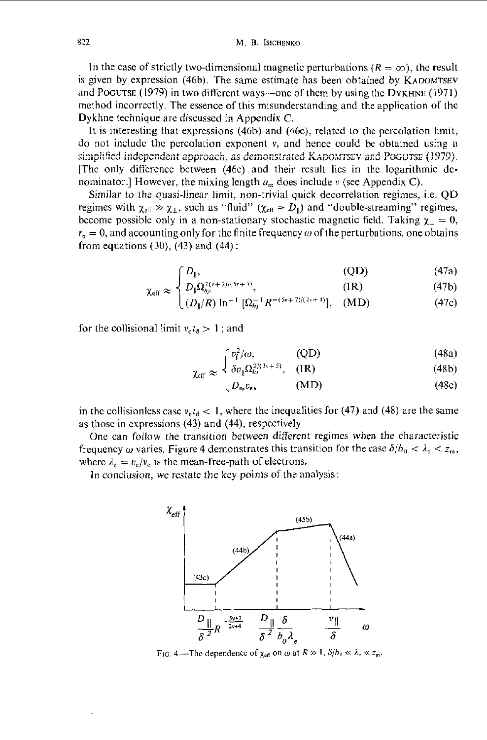In the case of strictly two-dimensional magnetic perturbations  $(R = \infty)$ , the result is given by expression (46b). The same estimate has been obtained by KADOMTSEV and PoGUTSE (1979) in two ditferent ways-one of them by using the DYKHNE (1971) method incorrectly. The essence of this misunderstanding and the application of the Dykhne technique are discussed in Appendix *C.* 

It is interesting that expressions (46b) and (46c), related to the percolation limit, do not includc thc pcrcolation exponent *v,* and hence could be obtained using a do not include the percolation exponent v, and hence could be obtained using a<br>simplified independent approach, as demonstrated KADOMTSEV and POGUTSE (1979). [The only difference between (46c) and their result lies in the logarithmic denominator.] However, the mixing length  $u_m$  does include v (see Appendix C).

Similar *to* the quasi-linear limit, non-trivial quick decorrelation regimes, i.e. QD regimes with  $\chi_{\text{eff}} \gg \chi_1$ , such as "fluid"  $(\chi_{\text{eff}} = D_{\parallel})$  and "double-streaming" regimes, become possible only in a non-stationary stochastic magnetic field. Taking  $\chi_{\perp} = 0$ ,  $r_e = 0$ , and accounting only for the finite frequency  $\omega$  of the perturbations, one obtains from equations  $(30)$ ,  $(43)$  and  $(44)$ :

$$
\int D_{\parallel},\tag{47a}
$$

$$
C_{\rm eff} \approx \left\{ D_{\parallel} \Omega_{hy}^{2(\nu+2)/(5\nu+7)}, \right. \tag{1R}
$$

$$
\chi_{\text{eff}} \approx \begin{cases} D_{\parallel}, & \text{(QD)}\\ D_{\parallel} \Omega_{hy}^{2(\nu+2)/(5\nu+7)}, & \text{(IR)}\\ (D_{\parallel}/R) \ln^{-1} [\Omega_{hy}^{-1} R^{-(5\nu+7)/(2\nu+4)}], & \text{(MD)} \end{cases} \tag{47c}
$$

for the collisional limit  $v_e t_d > 1$ ; and

$$
\begin{bmatrix} v_{\parallel}^2/\omega, & \text{(QD)} \\ v_{\perp}^2 & 2^{2/3}v^{1.5} & \text{(3D)} \end{bmatrix} \tag{48a}
$$

$$
\chi_{\rm eff} \approx \begin{cases} \frac{\partial v_{\parallel} \Omega_{ki}^{2(N+2)}}{\partial w_{\rm e}}, & \text{(IR)} \\ D_{\rm m} v_{\rm e}, & \text{(MD)} \end{cases} \tag{48b}
$$

in the collisionless case  $v<sub>e</sub>t<sub>d</sub> < 1$ , where the inequalities for (47) and (48) are the same as those in expressions (43) and (44), respectively.

One can follow the transition hetwecn different regimes when the characteristic frequency  $\omega$  varies. Figure 4 demonstrates this transition for the case  $\delta/b_0 < \lambda_e < z_m$ , where  $\lambda_c = v_c/v_c$  is the mean-free-path of electrons.

In conclusion, we restate the key points of the analysis:



FIG. 4.—The dependence of  $\chi_{\rm eff}$  on  $\omega$  at  $R \gg 1$ ,  $\delta/b_0 \ll \lambda_c \ll z_m$ .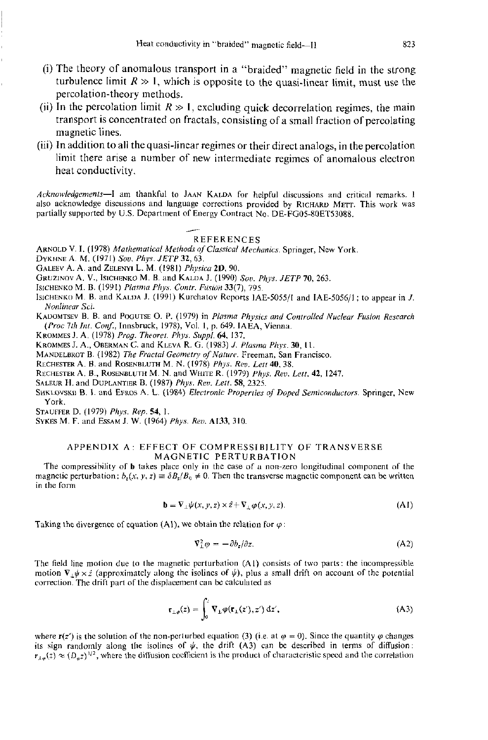- (i) The theory of anomalous transport in a "braided" magnetic field in the strong turbulence limit  $R \gg 1$ , which is opposite to the quasi-linear limit, must use the percolation-theory methods.
- (ii) In the percolation limit  $R \gg 1$ , excluding quick decorrelation regimes, the main transport is concentrated on fractals, consisting of a small fraction of percolating magnetic lines.
- (iii) In addition to all the quasi-linear regimes or their direct analogs, in the percolation limit there arise a number of new intermediate regimes of anomalous electron heat conductivity.

Acknowledgements-I am thankful to JAAN KALDA for helpful discussions and critical remarks. 1 Acknowledgements—1 am thankful to JAAN KALDA for helpful discussions and critical remarks. I<br>also acknowledge discussions and language corrections provided by RICHARD METT. This work was<br>partially supported by U.S. Departm partially supported by **U.S.** Dcpartment of **Energy** Contract **No.** DE-FG05-80ET53088.

REFERENCES<br>ARNOLD V. I. (1978) *Mathematical Methods of Classical Mechanics*. Springer, New York.

DYKHNE A. M. (1971) Sov. Phys. JETP 32, 63.

GALEEV A. A. and ZELENYI L. M. (1981) Physica 2D, 90.

GRUZINOV A. V., ISICHENKO M. B. and KALDA J. (1990) Sov. Phys. JETP 70, 263.

**ISICHENKO M.** B. (1991) *Plnrnio P1zy.s. Cvrrlr. Furkin* 33(7), 795.

**lSlCHENKIl M.** B. and **KALIIA J.** (1991) Kurchatov **Reports** IAE-SOSS/I and **IAE-5056/1** : lo appear in *J. Noniinror* **Sci.** 

**KAUOMTSEV** B. **B.** and **POGUTSE** *0.* P. (1979) **in** *Plasma Phy.sic.7* **iind** Controlled *Nuclear Furion Research (Proc* 7th Ini. *CO@.,* Innsbruck, 1978), Vol. I, p. 649. **MEA,** Vicnna

**KKOMMES J. A.** (1978) *Prog.* Thporct. *Phys. Suppl. 64,* 137.

**KROMMES J. A., OBERMAN C. and KLEVA R. G. (1983)** *J. Plasma Phys.* **30, 11.** 

**MANDELBROT B.** (1982) *The Fractal Geometry of Nature*. Freeman, San Francisco.

**RECHESTER A.** B. and **ROSLINBLUTH M.** N. (1978) *PhJ's. Ro.* Lett 40.38.

**RECHESTEK A. B., ROSENBLUTH M. N. and WHITE R. (1979) Phys.** *Rev. Lett.* **42, 1247.** 

**SaLEUK** H. and **DUPLnNTlaK** B. (1987) *Phys. Ree.* Lei/. *58,* 2325.

SHKLOVSKII B. I. and EFROS A. L. (1984) *Electronic Properties of Doped Semiconductors*. Springer, New **York.** 

**STAUFPEK** D. (1979) *Phyr. Rep.* **54,** I.

**SYKESM.** F. and **ESAM** J. **W.** (1964) *Phys. Reu.* **A133,** 310.

### **APPENDIX** A: EFFECT **OF COMPRESSIBILITY** OF TRANSVERSE **MAGNETIC** PERTURBATION

The comprcsribility of **b takes** place only in **the case** of **a** non-zero longitudinal componcnt of thc magnetic perturbation:  $b_x(x, y, z) = \delta B_x / B_0 \neq 0$ . Then the transverse magnetic component can be written in rhc fann

$$
\mathbf{b} = \nabla_{\perp} \psi(x, y, z) \times \hat{z} + \nabla_{\perp} \varphi(x, y, z). \tag{A1}
$$

Taking the divergence of equation (A1), we obtain the relation for  $\varphi$ :

$$
\nabla_{\perp}^2 \varphi = -\partial b_z / \partial z. \tag{A2}
$$

The field line motion due to the magnetic perturbation **(A1)** consists of two parts: the incompressible motion  $\nabla_{\theta} \psi \times \hat{z}$  (approximately along the isolines of  $\psi$ ), plus a small drift on account of the potential ~~rre~tion. **The** drift part of thc displacement **can** bc calculated **as** 

acement can be calculated as

\n
$$
\mathbf{r}_{\perp\varphi}(z) = \int_0^z \mathbf{V}_{\perp} \varphi(\mathbf{r}_{\perp}(z'), z') \, \mathrm{d}z',\tag{A3}
$$

where  $r(z')$  is the solution of the non-perturbed equation (3) (i.e. at  $\varphi = 0$ ). Since the quantity  $\varphi$  changes its sign randomly along the isolines of  $\psi$ , the drift  $(A3)$  can be described in terms of diffusion:  $r_{\mu\mu}(z) \approx (D_{\mu}z)^{1/2}$ , where the diffusion coefficient is the product of characteristic speed and the correlation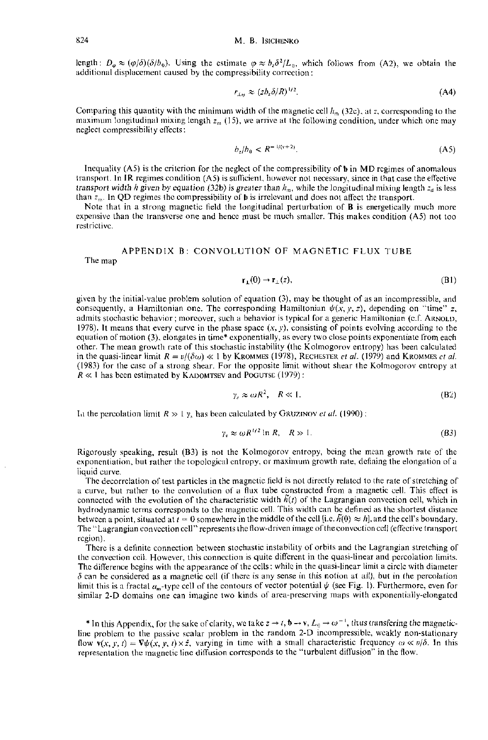length:  $D_{\alpha} \approx (\varphi/\delta)(\delta/b_0)$ . Using the estimate  $\varphi \approx b_2 \delta^2/L_0$ , which follows from (A2), we obtain the additional displacement caused by the compressibility correction:

$$
r_{\perp n} \approx (z b_z \delta / R)^{1/2} \tag{A4}
$$

Comparing this quantity with the minimum width of the magnetic cell  $h_m$  (32c), at z, corresponding to the maximum longitudinal mixing length  $z_m$  (15), we arrive at the following condition, under which one may neglect compressibility effects:

$$
b_z/b_0 < R^{-1/(v+2)}.\tag{A5}
$$

Inequality  $(AS)$  is the criterion for the neglect of the compressibility of  $\mathbf b$  in MD regimes of anomalous transport. In IR regimes condition  $(A5)$  is sufficient, however not necessary, since in that case the effective transport width h given by equation (32b) is greater than  $h_m$ , while the longitudinal mixing length  $z_d$  is less than  $z_m$ . In QD regimes the compressibility of **b** is irrelevant and does not affect the transport.

Note that in a strong magnetic field the longitudinal perturbation of **B** is energetically much more expensive than the transverse one and hence must be much smaller. This makes condition (A5) not too restrictive.

# APPENDIX B: CONVOLUTION OF MAGNETIC FLUX TUBE

The map

$$
\mathbf{r}_{\perp}(0) \to \mathbf{r}_{\perp}(z),\tag{B1}
$$

given by the initial-value problem solution of equation (3), may be thought of as an incompressible, and consequently, a Hamiltonian one. The corresponding Hamiltonian  $\psi(x, y, z)$ , depending on "time" z, admits stochastic behavior; moreover, such a behavior is typical for a generic Hamiltonian (c.f. ARNOLD, 1978). It means that every curve in the phase space  $(x, y)$ , consisting of points evolving according to the equation of motion (3), elongates in time\* exponentially, as every two close points exponentiate from each other. The mean growth rate of this stochastic instability (the Kolmogorov entropy) has been calculated in the quasi-linear limit  $R = v/(\delta \omega) \ll 1$  by KROMMES (1978), RECHESTER et al. (1979) and KROMMES et al. (1983) for the case of a strong shear. For the opposite limit without shear the Kolmogorov entropy at  $R \ll 1$  has been estimated by KADOMTSEV and POGUTSE (1979):

$$
y_s \approx \omega R^2, \quad R \ll 1. \tag{B2}
$$

In the percolation limit  $R \gg 1$   $\gamma_s$  has been calculated by GRUZINOV et al. (1990):

$$
\gamma_s \approx \omega R^{1/2} \ln R, \quad R \gg 1. \tag{B3}
$$

Rigorously speaking, result  $(B3)$  is not the Kolmogorov entropy, being the mean growth rate of the exponentiation, but rather the topological entropy, or maximum growth rate, defining the elongation of a liquid curve.

The decorrelation of test particles in the magnetic field is not directly related to the rate of stretching of a curve, but rather to the convolution of a flux tube constructed from a magnetic cell. This effect is connected with the evolution of the characteristic width  $\hat{h}(t)$  of the Lagrangian convection cell, which in hydrodynamic terms corresponds to the magnetic cell. This width can be defined as the shortest distance between a point, situated at  $t = 0$  somewhere in the middle of the cell [i.e.  $\tilde{h}(0) \approx h$ ], and the cell's boundary. The "Lagrangian convection cell" represents the flow-driven image of the convection cell (effective transport region).

There is a definite connection between stochastic instability of orbits and the Lagrangian stretching of the convection cell. However, this connection is quite different in the quasi-linear and percolation limits. The difference begins with the appearance of the cells; while in the quasi-linear limit a circle with diameter  $\delta$  can be considered as a magnetic cell (if there is any sense in this notion at all), but in the percolation limit this is a fractal  $a_m$ -type cell of the contours of vector potential  $\psi$  (see Fig. 1). Furthermore, even for similar 2-D domains one can imagine two kinds of area-preserving maps with exponentially-elongated

\* In this Appendix, for the sake of clarity, we take  $z \to t$ ,  $\mathbf{b} \to \mathbf{v}$ ,  $L_0 \to \omega^{-1}$ , thus transfering the magneticline problem to the passive scalar problem in the random 2-D incompressible, weakly non-stationary flow  $\mathbf{v}(x, y, t) = \nabla \psi(x, y, t) \times \hat{z}$ , varying in time with a small characteristic frequency  $\omega \ll v/\delta$ . In this representation the magnetic line diffusion corresponds to the "turbulent diffusion" in the flow.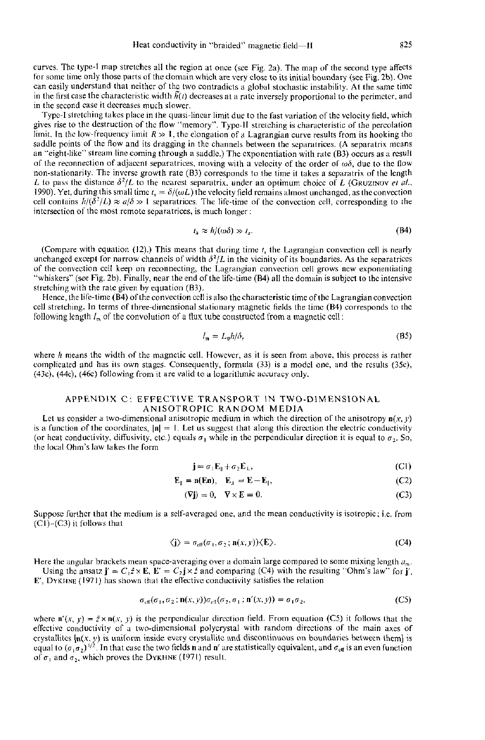**curves.** Thc type-l map stretches all the region at once **(see** Fig. 2a). Thc map of the second type affects for some time only those parts **al** the domain which are **very** close to its initial boundary *(see* Fig. Zb). One can easily understand that neither of the two contradicts a global stochastic instability. At the same time in the first case the characteristic width  $\hat{h}(t)$  decreases at a rate inversely proportional to the perimeter, and in the second **case** it decreases much **slower.** 

Type-I stretching takes place in the quasi-linear limit due to the fast variation of the velocity field, which gives rise to the destruction **01** thc flow "memory". Type-II strctching is characteristic of the percolation limit. In the low-frequency limit  $R \gg 1$ , the elongation of a Lagrangian curve results from its hooking the saddle points of the flow and its dragging in the channels between the separatrices. (A separatrix means an "eight-like" stream line coming through a saddle.) The exponentiation with rate (B3) occurs as a result of the reconnection of adjacent separatrices, moving with a velocity of the order of  $\omega\delta$ , due to the flow non-stationarily. The inverse growth rate **(83)** corresponds to the time it takcs **a** scparatrix of the length *L* to pass the distance  $\frac{\partial^2}{\partial L}$  to the nearest separatrix, under an optimum choice of *L* (GRUZINOV *et al.*, 1990). Yet, during this small time  $t_s = \delta/(\omega L)$  the velocity field remains almost unchanged, as the convection cell contains  $h/(\delta^2/L) \approx a/\delta \gg 1$  separatrices. The life-time of the convection cell, corresponding to the intersection of the most remote separatrices, is much longer:

$$
t_h \approx h/(\omega \delta) \gg t_s. \tag{B4}
$$

(Compare with equation  $(12)$ .) This means that during time  $t$ , the Lagrangian convection cell is nearly unchanged except for narrow channels of width  $\delta^2/L$  in the vicinity of its boundaries. As the separatrices of the convection cell keep on reconnecting, the Lagrangian convection cell grows new exponentiating "whiskers" (see Fig. 2b). Finally, near the end of the life-time (B4) all the domain is subject to the intensive stretching with the rate given by equation (B3).

Hence, the life-time (B4) of the convection cell is also the characteristic time of the Lagrangian convection cell stretching. In terms of three-dimensional stationary magnetic fields the time (B4) corresponds to the following length  $I_m$  of the convolution of a flux tube constructed from a magnetic cell:

$$
l_{\mathfrak{m}} = L_0 h / \delta,\tag{B5}
$$

where *Ir* **means** the width **of** the magnetic **cell.** Howevcr, **as** it is **seen** from above, this praccss is **rather**  complicated and has its own **stagcs.** Consequently, formula **(33)** is **a** madcl one, and **the** results **(35c),**  (4%). (44c), **(46c)** following from it are valid tu **a** logarithmic **iiccuraiy** only.

## APPENDIX C: EFFECTIVE TRANSPORT IN TWO-DIMENSIONAL ANISOTROPIC RANDOM MEDIA

Let us consider a two-dimensional anisotropic medium in which the direction of the anisotropy  $\mathbf{n}(x, y)$ is a function of the coordinates,  $|\mathbf{n}| = 1$ . Let us suggest that along this direction the electric conductivity (or heat conductivity, diffusivity, etc.) equals  $\sigma_1$  while in the perpendicular direction it is equal to  $\sigma_2$ . So, the **local** Ohm's law **takes** the form

$$
\mathbf{j} = \sigma_1 \mathbf{E}_{\parallel} + \sigma_2 \mathbf{E}_{\perp},\tag{C1}
$$

$$
\mathbf{E}_{\parallel} = \mathbf{n}(\mathbf{E}\mathbf{n}), \quad \mathbf{E}_{\perp} = \mathbf{E} - \mathbf{E}_{\parallel}, \tag{C2}
$$

$$
(\nabla j) = 0, \quad \nabla \times E = 0. \tag{C3}
$$

**Suppose** further that the medium is **a** self-avcragcd **unc.** and the **mean** conductivity is isotropic: i.e. lrum (CI)-(C3) it follows that

$$
\langle \mathbf{j} \rangle = \sigma_{\text{eff}}(\sigma_1, \sigma_2; \mathbf{n}(x, y)) \langle \mathbf{E} \rangle. \tag{C4}
$$

Here the angular brackets mean space-averaging over a domain large compared to some mixing length  $a_m$ .

Using the ansatz  $\mathbf{j}' = C_1 \hat{z} \times \mathbf{E}$ .  $\mathbf{E}' = C_2 \mathbf{j} \times \hat{z}$  and comparing (C4) with the resulting "Ohm's law" for  $\mathbf{j}'$ , **E, DYKHNE** (197 I) has shown thal **the** cflective conductivity satislies the relation

$$
\sigma_{\rm eff}(\sigma_1, \sigma_2; \mathbf{n}(x, y))\sigma_{\rm eff}(\sigma_2, \sigma_1; \mathbf{n}'(x, y)) = \sigma_1 \sigma_2, \tag{CS}
$$

where  $\mathbf{n}'(x, y) = \hat{z} \times \mathbf{n}(x, y)$  is the perpendicular direction field. From equation (C5) it follows that the eflcctivc conductivity uf **il** two-dimcnsional **polycrystal** with random directions or Ihc milin **axcs** of crystallites  $\mathbf{[n](x, y)}$  is uniform inside every crystalliie and discontinuous on boundaries between them) is equal to  $(\sigma, \sigma_2)^{1/2}$ . In that case the two fields **n** and **n'** are statistically equivalent, and  $\sigma_{\rm eff}$  is an even function of  $\sigma_1$  and  $\sigma_2$ , which proves the DYKHNE (1971) result.